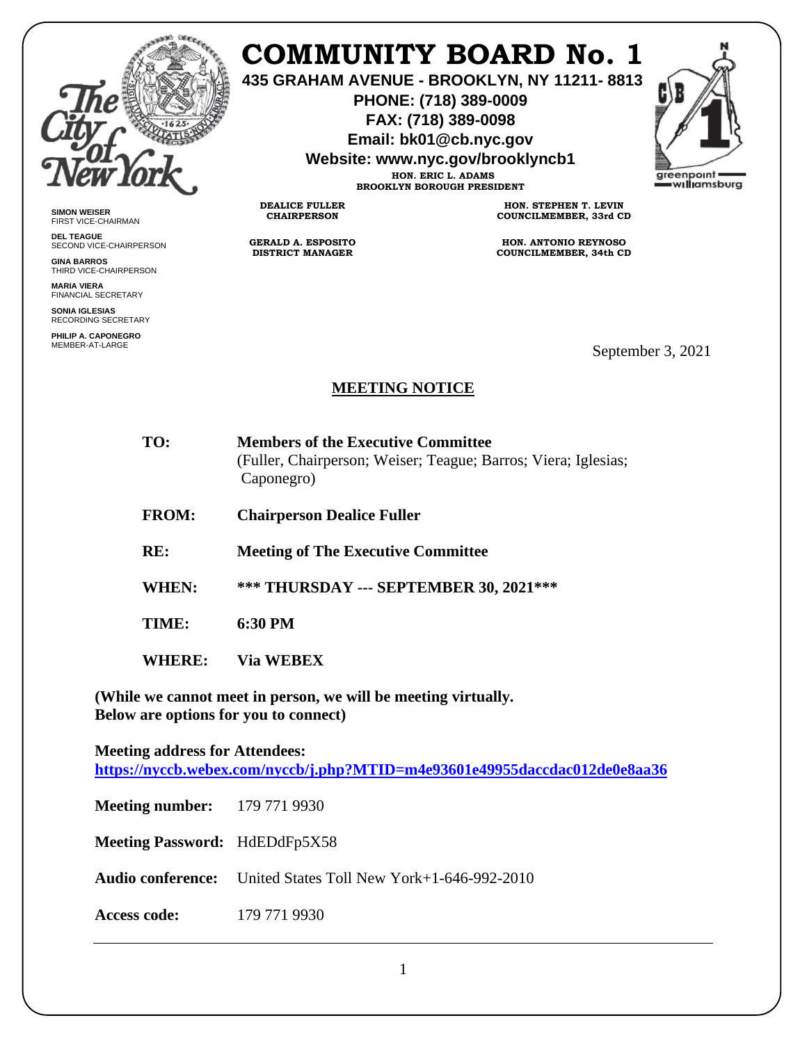

## **COMMUNITY BOARD No. 1**

**435 GRAHAM AVENUE - BROOKLYN, NY 11211- 8813**

**PHONE: (718) 389-0009 FAX: (718) 389-0098**

**Email: bk01@cb.nyc.gov**

**Website: www.nyc.gov/brooklyncb1**

**HON. ERIC L. ADAMS BROOKLYN BOROUGH PRESIDENT**



**SIMON WEISER** FIRST VICE-CHAIRMAN

**DEL TEAGUE** SECOND VICE-CHAIRPERSON

**GINA BARROS** THIRD VICE-CHAIRPERSON

**MARIA VIERA** FINANCIAL SECRETARY

**SONIA IGLESIAS** RECORDING SECRETARY

**PHILIP A. CAPONEGRO**

**HON. STEPHEN T. LEVIN COUNCILMEMBER, 33rd CD**

**HON. ANTONIO REYNOSO COUNCILMEMBER, 34th CD**

September 3, 2021

## **MEETING NOTICE**

- **TO: Members of the Executive Committee**  (Fuller, Chairperson; Weiser; Teague; Barros; Viera; Iglesias; Caponegro)
- **FROM: Chairperson Dealice Fuller**

**DEALICE FULLER CHAIRPERSON**

**GERALD A. ESPOSITO DISTRICT MANAGER**

- **RE: Meeting of The Executive Committee**
- **WHEN: \*\*\* THURSDAY --- SEPTEMBER 30, 2021\*\*\***

**TIME: 6:30 PM**

**WHERE: Via WEBEX**

**(While we cannot meet in person, we will be meeting virtually. Below are options for you to connect)**

**Meeting address for Attendees: <https://nyccb.webex.com/nyccb/j.php?MTID=m4e93601e49955daccdac012de0e8aa36>**

**Meeting number:** 179 771 9930

**Meeting Password:** HdEDdFp5X58

**Audio conference:** United States Toll New York+1-646-992-2010

**Access code:** 179 771 9930